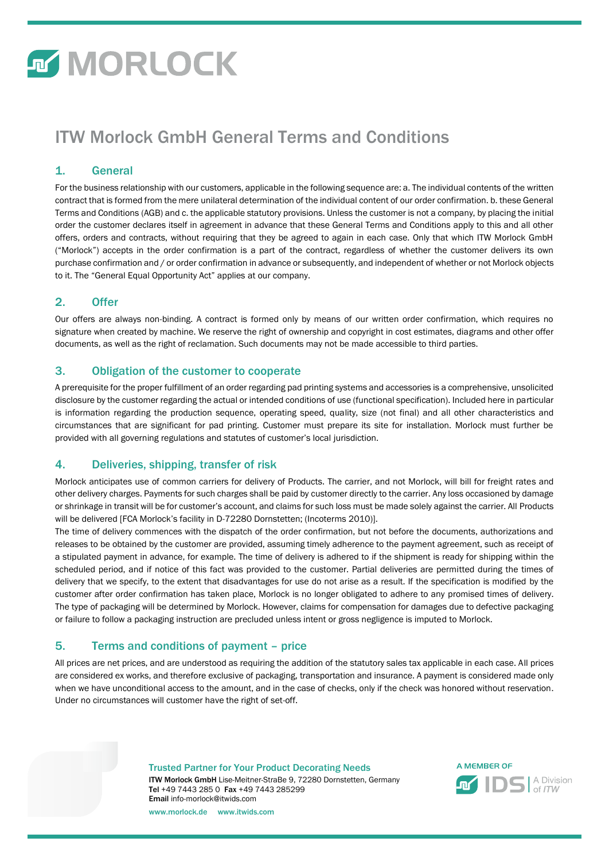# **MORLOCK**

### ITW Morlock GmbH General Terms and Conditions

#### 1. General

For the business relationship with our customers, applicable in the following sequence are: a. The individual contents of the written contract that is formed from the mere unilateral determination of the individual content of our order confirmation. b. these General Terms and Conditions (AGB) and c. the applicable statutory provisions. Unless the customer is not a company, by placing the initial order the customer declares itself in agreement in advance that these General Terms and Conditions apply to this and all other offers, orders and contracts, without requiring that they be agreed to again in each case. Only that which ITW Morlock GmbH ("Morlock") accepts in the order confirmation is a part of the contract, regardless of whether the customer delivers its own purchase confirmation and / or order confirmation in advance or subsequently, and independent of whether or not Morlock objects to it. The "General Equal Opportunity Act" applies at our company.

### 2. Offer

Our offers are always non-binding. A contract is formed only by means of our written order confirmation, which requires no signature when created by machine. We reserve the right of ownership and copyright in cost estimates, diagrams and other offer documents, as well as the right of reclamation. Such documents may not be made accessible to third parties.

### 3. Obligation of the customer to cooperate

A prerequisite for the proper fulfillment of an order regarding pad printing systems and accessories is a comprehensive, unsolicited disclosure by the customer regarding the actual or intended conditions of use (functional specification). Included here in particular is information regarding the production sequence, operating speed, quality, size (not final) and all other characteristics and circumstances that are significant for pad printing. Customer must prepare its site for installation. Morlock must further be provided with all governing regulations and statutes of customer's local jurisdiction.

#### 4. Deliveries, shipping, transfer of risk

Morlock anticipates use of common carriers for delivery of Products. The carrier, and not Morlock, will bill for freight rates and other delivery charges. Payments for such charges shall be paid by customer directly to the carrier. Any loss occasioned by damage or shrinkage in transit will be for customer's account, and claims for such loss must be made solely against the carrier. All Products will be delivered [FCA Morlock's facility in D-72280 Dornstetten; (Incoterms 2010)].

The time of delivery commences with the dispatch of the order confirmation, but not before the documents, authorizations and releases to be obtained by the customer are provided, assuming timely adherence to the payment agreement, such as receipt of a stipulated payment in advance, for example. The time of delivery is adhered to if the shipment is ready for shipping within the scheduled period, and if notice of this fact was provided to the customer. Partial deliveries are permitted during the times of delivery that we specify, to the extent that disadvantages for use do not arise as a result. If the specification is modified by the customer after order confirmation has taken place, Morlock is no longer obligated to adhere to any promised times of delivery. The type of packaging will be determined by Morlock. However, claims for compensation for damages due to defective packaging or failure to follow a packaging instruction are precluded unless intent or gross negligence is imputed to Morlock.

#### 5. Terms and conditions of payment – price

All prices are net prices, and are understood as requiring the addition of the statutory sales tax applicable in each case. All prices are considered ex works, and therefore exclusive of packaging, transportation and insurance. A payment is considered made only when we have unconditional access to the amount, and in the case of checks, only if the check was honored without reservation. Under no circumstances will customer have the right of set-off.

Trusted Partner for Your Product Decorating Needs

ITW Morlock GmbH Lise-Meitner-StraBe 9, 72280 Dornstetten, Germany Tel +49 7443 285 0 Fax +49 7443 285299 Email info-morlock@itwids.com



www.morlock.de www.itwids.com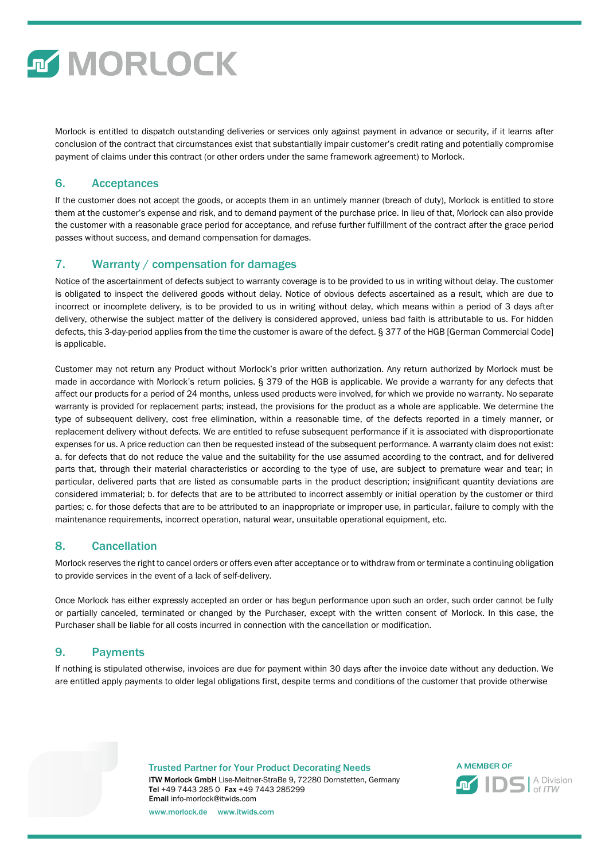

Morlock is entitled to dispatch outstanding deliveries or services only against payment in advance or security, if it learns after conclusion of the contract that circumstances exist that substantially impair customer's credit rating and potentially compromise payment of claims under this contract (or other orders under the same framework agreement) to Morlock.

#### 6. Acceptances

If the customer does not accept the goods, or accepts them in an untimely manner (breach of duty), Morlock is entitled to store them at the customer's expense and risk, and to demand payment of the purchase price. In lieu of that, Morlock can also provide the customer with a reasonable grace period for acceptance, and refuse further fulfillment of the contract after the grace period passes without success, and demand compensation for damages.

#### 7. Warranty / compensation for damages

Notice of the ascertainment of defects subject to warranty coverage is to be provided to us in writing without delay. The customer is obligated to inspect the delivered goods without delay. Notice of obvious defects ascertained as a result, which are due to incorrect or incomplete delivery, is to be provided to us in writing without delay, which means within a period of 3 days after delivery, otherwise the subject matter of the delivery is considered approved, unless bad faith is attributable to us. For hidden defects, this 3-day-period applies from the time the customer is aware of the defect. § 377 of the HGB [German Commercial Code] is applicable.

Customer may not return any Product without Morlock's prior written authorization. Any return authorized by Morlock must be made in accordance with Morlock's return policies. § 379 of the HGB is applicable. We provide a warranty for any defects that affect our products for a period of 24 months, unless used products were involved, for which we provide no warranty. No separate warranty is provided for replacement parts; instead, the provisions for the product as a whole are applicable. We determine the type of subsequent delivery, cost free elimination, within a reasonable time, of the defects reported in a timely manner, or replacement delivery without defects. We are entitled to refuse subsequent performance if it is associated with disproportionate expenses for us. A price reduction can then be requested instead of the subsequent performance. A warranty claim does not exist: a. for defects that do not reduce the value and the suitability for the use assumed according to the contract, and for delivered parts that, through their material characteristics or according to the type of use, are subject to premature wear and tear; in particular, delivered parts that are listed as consumable parts in the product description; insignificant quantity deviations are considered immaterial; b. for defects that are to be attributed to incorrect assembly or initial operation by the customer or third parties; c. for those defects that are to be attributed to an inappropriate or improper use, in particular, failure to comply with the maintenance requirements, incorrect operation, natural wear, unsuitable operational equipment, etc.

#### 8. Cancellation

Morlock reserves the right to cancel orders or offers even after acceptance or to withdraw from or terminate a continuing obligation to provide services in the event of a lack of self-delivery.

Once Morlock has either expressly accepted an order or has begun performance upon such an order, such order cannot be fully or partially canceled, terminated or changed by the Purchaser, except with the written consent of Morlock. In this case, the Purchaser shall be liable for all costs incurred in connection with the cancellation or modification.

#### 9. Payments

If nothing is stipulated otherwise, invoices are due for payment within 30 days after the invoice date without any deduction. We are entitled apply payments to older legal obligations first, despite terms and conditions of the customer that provide otherwise

> Trusted Partner for Your Product Decorating Needs ITW Morlock GmbH Lise-Meitner-StraBe 9, 72280 Dornstetten, Germany Tel +49 7443 285 0 Fax +49 7443 285299 Email info-morlock@itwids.com



www.morlock.de www.itwids.com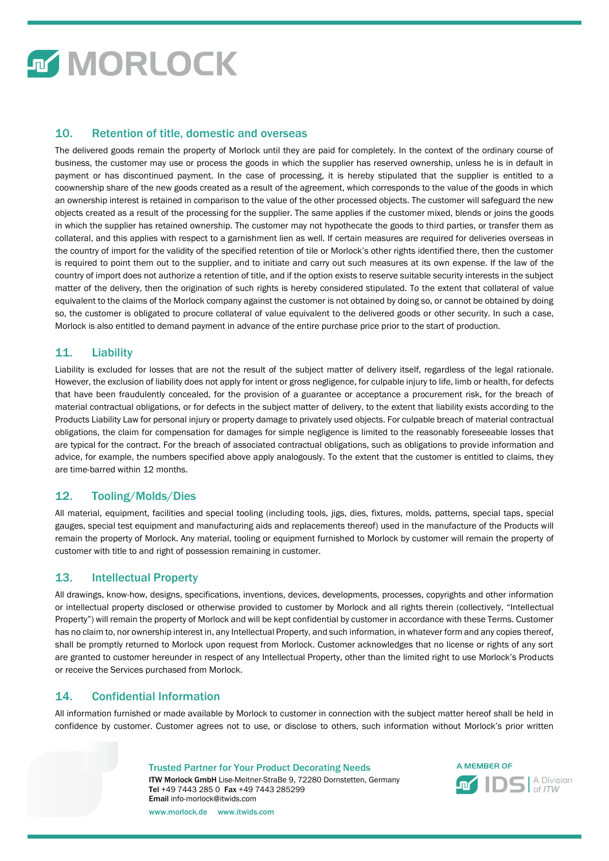# **MORLOCK**

#### 10. Retention of title, domestic and overseas

The delivered goods remain the property of Morlock until they are paid for completely. In the context of the ordinary course of business, the customer may use or process the goods in which the supplier has reserved ownership, unless he is in default in payment or has discontinued payment. In the case of processing, it is hereby stipulated that the supplier is entitled to a coownership share of the new goods created as a result of the agreement, which corresponds to the value of the goods in which an ownership interest is retained in comparison to the value of the other processed objects. The customer will safeguard the new objects created as a result of the processing for the supplier. The same applies if the customer mixed, blends or joins the goods in which the supplier has retained ownership. The customer may not hypothecate the goods to third parties, or transfer them as collateral, and this applies with respect to a garnishment lien as well. If certain measures are required for deliveries overseas in the country of import for the validity of the specified retention of tile or Morlock's other rights identified there, then the customer is required to point them out to the supplier, and to initiate and carry out such measures at its own expense. If the law of the country of import does not authorize a retention of title, and if the option exists to reserve suitable security interests in the subject matter of the delivery, then the origination of such rights is hereby considered stipulated. To the extent that collateral of value equivalent to the claims of the Morlock company against the customer is not obtained by doing so, or cannot be obtained by doing so, the customer is obligated to procure collateral of value equivalent to the delivered goods or other security. In such a case, Morlock is also entitled to demand payment in advance of the entire purchase price prior to the start of production.

#### 11. Liability

Liability is excluded for losses that are not the result of the subject matter of delivery itself, regardless of the legal rationale. However, the exclusion of liability does not apply for intent or gross negligence, for culpable injury to life, limb or health, for defects that have been fraudulently concealed, for the provision of a guarantee or acceptance a procurement risk, for the breach of material contractual obligations, or for defects in the subject matter of delivery, to the extent that liability exists according to the Products Liability Law for personal injury or property damage to privately used objects. For culpable breach of material contractual obligations, the claim for compensation for damages for simple negligence is limited to the reasonably foreseeable losses that are typical for the contract. For the breach of associated contractual obligations, such as obligations to provide information and advice, for example, the numbers specified above apply analogously. To the extent that the customer is entitled to claims, they are time-barred within 12 months.

#### 12. Tooling/Molds/Dies

All material, equipment, facilities and special tooling (including tools, jigs, dies, fixtures, molds, patterns, special taps, special gauges, special test equipment and manufacturing aids and replacements thereof) used in the manufacture of the Products will remain the property of Morlock. Any material, tooling or equipment furnished to Morlock by customer will remain the property of customer with title to and right of possession remaining in customer.

#### 13. Intellectual Property

All drawings, know-how, designs, specifications, inventions, devices, developments, processes, copyrights and other information or intellectual property disclosed or otherwise provided to customer by Morlock and all rights therein (collectively, "Intellectual Property") will remain the property of Morlock and will be kept confidential by customer in accordance with these Terms. Customer has no claim to, nor ownership interest in, any Intellectual Property, and such information, in whatever form and any copies thereof, shall be promptly returned to Morlock upon request from Morlock. Customer acknowledges that no license or rights of any sort are granted to customer hereunder in respect of any Intellectual Property, other than the limited right to use Morlock's Products or receive the Services purchased from Morlock.

#### 14. Confidential Information

All information furnished or made available by Morlock to customer in connection with the subject matter hereof shall be held in confidence by customer. Customer agrees not to use, or disclose to others, such information without Morlock's prior written

#### Trusted Partner for Your Product Decorating Needs

ITW Morlock GmbH Lise-Meitner-StraBe 9, 72280 Dornstetten, Germany Tel +49 7443 285 0 Fax +49 7443 285299 Email info-morlock@itwids.com www.morlock.de www.itwids.com